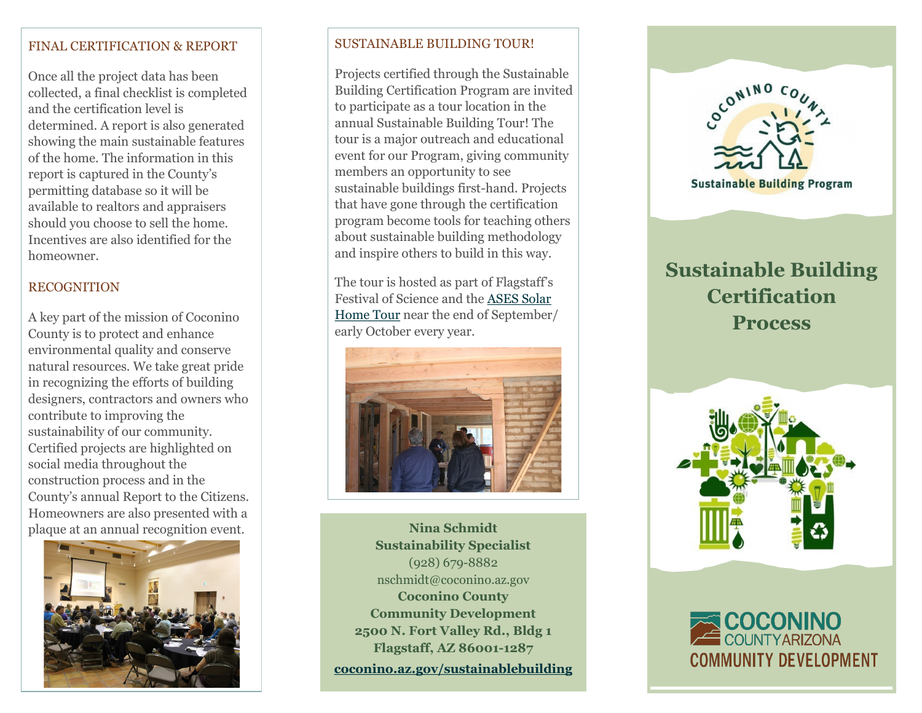#### FINAL CERTIFICATION & REPORT

Once all the project data has been collected, a final checklist is completed and the certification level is determined. A report is also generated showing the main sustainable features of the home. The information in this report is captured in the County 's permitting database so it will be available to realtors and appraisers should you choose to sell the home. Incentives are also identified for the homeowner.

#### RECOGNITION

A key part of the mission of Coconino County is to protect and enhance environmental quality and conserve natural resources. We take great pride in recognizing the efforts of building designers, contractors and owners who contribute to improving the sustainability of our community. Certified projects are highlighted on social media throughout the construction process and in the County 's annual Report to the Citizens. Homeowners are also presented with a plaque at an annual recognition event.



#### SUSTAINABLE BUILDING TOUR!

Projects certified through the Sustainable Building Certification Program are invited to participate as a tour location in the annual Sustainable Building Tour! The tour is a major outreach and educational event for our Program, giving community members an opportunity to see sustainable buildings first -hand. Projects that have gone through the certification program become tools for teaching others about sustainable building methodology and inspire others to build in this way.

The tour is hosted as part of Flagstaff's Festival of Science and the [ASES Solar](https://www.ases.org/tour/)  [Home Tour](https://www.ases.org/tour/) near the end of September/ early October every year.



**Nina Schmidt Sustainability Specialist** (928) 679 -8882 nschmidt@coconino.az.gov **Coconino County Community Development 2500 N. Fort Valley Rd., Bldg 1 Flagstaff, AZ 86001 -1287 [coconino.az.gov/sustainablebuilding](https://www.coconino.az.gov/625/Sustainable-Building-Program)**



# **Sustainable Building Certification Process**